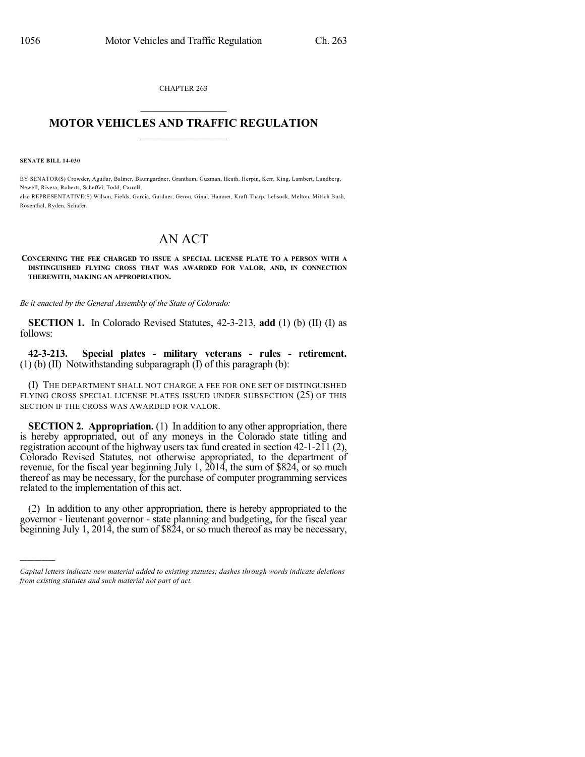CHAPTER 263  $\mathcal{L}_\text{max}$  . The set of the set of the set of the set of the set of the set of the set of the set of the set of the set of the set of the set of the set of the set of the set of the set of the set of the set of the set

## **MOTOR VEHICLES AND TRAFFIC REGULATION**  $\frac{1}{2}$  ,  $\frac{1}{2}$  ,  $\frac{1}{2}$  ,  $\frac{1}{2}$  ,  $\frac{1}{2}$  ,  $\frac{1}{2}$  ,  $\frac{1}{2}$

**SENATE BILL 14-030**

)))))

BY SENATOR(S) Crowder, Aguilar, Balmer, Baumgardner, Grantham, Guzman, Heath, Herpin, Kerr, King, Lambert, Lundberg, Newell, Rivera, Roberts, Scheffel, Todd, Carroll; also REPRESENTATIVE(S) Wilson, Fields, Garcia, Gardner, Gerou, Ginal, Hamner, Kraft-Tharp, Lebsock, Melton, Mitsch Bush, Rosenthal, Ryden, Schafer.

## AN ACT

## **CONCERNING THE FEE CHARGED TO ISSUE A SPECIAL LICENSE PLATE TO A PERSON WITH A DISTINGUISHED FLYING CROSS THAT WAS AWARDED FOR VALOR, AND, IN CONNECTION THEREWITH, MAKING AN APPROPRIATION.**

*Be it enacted by the General Assembly of the State of Colorado:*

**SECTION 1.** In Colorado Revised Statutes, 42-3-213, **add** (1) (b) (II) (I) as follows:

**42-3-213. Special plates - military veterans - rules - retirement.** (1) (b) (II) Notwithstanding subparagraph (I) of this paragraph (b):

(I) THE DEPARTMENT SHALL NOT CHARGE A FEE FOR ONE SET OF DISTINGUISHED FLYING CROSS SPECIAL LICENSE PLATES ISSUED UNDER SUBSECTION (25) OF THIS SECTION IF THE CROSS WAS AWARDED FOR VALOR.

**SECTION 2. Appropriation.** (1) In addition to any other appropriation, there is hereby appropriated, out of any moneys in the Colorado state titling and registration account of the highway users tax fund created in section 42-1-211 (2), Colorado Revised Statutes, not otherwise appropriated, to the department of revenue, for the fiscal year beginning July 1, 2014, the sum of \$824, or so much thereof as may be necessary, for the purchase of computer programming services related to the implementation of this act.

(2) In addition to any other appropriation, there is hereby appropriated to the governor - lieutenant governor - state planning and budgeting, for the fiscal year beginning July 1, 2014, the sum of \$824, or so much thereof as may be necessary,

*Capital letters indicate new material added to existing statutes; dashes through words indicate deletions from existing statutes and such material not part of act.*